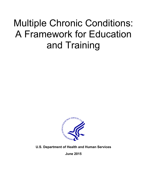# Multiple Chronic Conditions: A Framework for Education and Training



**U.S. Department of Health and Human Services**

**June 2015**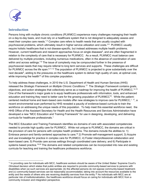

# **Introduction**

Persons living with multiple chronic conditions (PLWMCC) experience many challenges managing their health on a day-to-day basis, and must rely on a healthcare system that is not designed to adequately assess and meet their complex care needs.<sup>[1,](#page-14-0)[2](#page-14-1)</sup> Complex care refers to health needs that are usually coupled with psychosocial problems, which ultimately result in higher service utilization and costs. 3-5 PLWMCC usually require holistic healthcare that is not disease-specific, but instead addresses multiple health problems. However, current healthcare and research approaches focus on single diseases<sup>6</sup>, and are often fragmented in relation to the complexity of care that is necessary for PLWMCC. As a result, PLWMCC must balance care delivered by multiple providers, including numerous medications, often in the absence of coordination of care within and across settings.<sup>7-9</sup> The issue of complexity may be compounded further in the presence of psychosocial needs that may require referral to long term services and supports. These challenges are difficult for PLWMCC across the life span.<sup>9,11,12</sup> The population of PLWMCC is projected to grow substantially over the next decade<sup>9</sup>, adding to the pressures on the healthcare system to deliver high quality of care, at optimal cost, while improving the health<sup>10</sup> of this complex population.

To help address these challenges, in 2010 the U.S. Department of Health and Human Services (HHS) released the *Strategic Framework on Multiple Chronic Conditions. 12* The *Strategic Framework* contains goals, objectives, and action strategies that collectively serve as a roadmap for improving the health of PLWMCC. 14,15 One of the framework's major goals is to equip healthcare professionals with information, tools, and enhanced education and training they need to better care for the growing population of PLWMCC<sup>16</sup>. While the patient-centered medical home and team-based care models offer new strategies to improve care for PLWMCC,<sup>[1,](#page-14-0) 17</sup>, a recent environmental scan performed by HHS revealed a paucity of evidence-based curricula to train the workforce on addressing the unique needs of this population. To help meet this essential workforce need, the HHS Office of the Assistant Secretary for Health and the Health Resources and Services Administration have developed a new "MCC Education and Training Framework" for use in designing, developing, and delivering curricula for healthcare professionals. [1](#page-1-0)

The MCC Education and Training Framework identifies six domains of care with associated competencies needed to provide high quality care for PLWMCC. While not unique to PLWMCC, the domains are critical in the provision of care for persons with complex health problems. The domains include the abilities to: 1) Embrace person-and family-centered approaches to care; <sup>18</sup> 2) Promote self-management support; 3) Acquire and use knowledge for practice in complex care for PLWMCC; 4) Foster interprofessional collaboration and team-based care; 5) Provide care across settings through coordinated care delivery; and 6) Participate in systems based practice.<sup>19,20</sup> The domains and related competencies can be incorporated into new and existing curricula for teaching and training the healthcare professions workforce.

<span id="page-1-0"></span><sup>\*1</sup> In providing care for individuals with MCC, healthcare workers should be aware of the United States' Supreme Court's *Olmstead* decision which states that public entities are required to provide community-based services to persons with disabilities when (a) such services are appropriate; (b) the affected persons do not oppose community-based treatment; and (c) community-based services can be reasonably accommodated, taking into account the resources available to the entity and the needs of others who are receiving disability services from the entity.<sup>35</sup> As individuals with MCC are at particular risk of institutionalization, the healthcare workforce should focus on caring for individuals with MCC from a community inclusion and integration perspective.  $\overline{a}$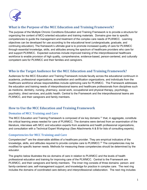

# **What is the Purpose of the MCC Education and Training Framework?**

The purpose of the Multiple Chronic Conditions Education and Training Framework is to provide a structure for organizing the content of MCC-oriented education and training materials. Domains give rise to specific competencies to guide the management and treatment of the complex care needs of PLWMCC. Learning objectives can be developed for use according to the educational level (undergraduate, graduate, and continuing education). The framework's ultimate goal is to promote increased quality of care for PLWMCC through essential knowledge, skills, and attitudes among the spectrum of healthcare providers who care for and support PLWMCC. Expected outcomes include improved training of the interprofessional healthcare workforce to enable provision of high quality, comprehensive, evidence-based, person-centered, and culturally competent care for PLWMCC and their families and caregivers.

# **Who is the Target Audience for the MCC Education and Training Framework?**

Audiences for the MCC Education and Training Framework include faculty across the educational continuum in academia, professional organizations, accreditation and certification organizations, and individuals from the healthcare workforce whose responsibilities include optimizing care for PLWMCC. The Framework addresses the education and training needs of interprofessional teams and healthcare professionals from disciplines such as medicine, dentistry, nursing, pharmacy, social work, occupational and physical therapy, psychology, psychiatry, direct services, and public health. Central to the Framework and the interprofessional teams are PLWMCC, and their caregivers and family members.

# **How to Use the MCC Education and Training Framework**

## **Domains of MCC Training and Care**

The MCC Education and Training Framework is composed of six key domains <sup>21</sup> that, in aggregate, constitute the critical learning areas needed for care of PLWMCC. The domains were derived from an examination of the literature, interviews with MCC and education experts from academia and health professional organizations, and consultation with a Technical Expert Workgroup (See Attachments A & B for lists of consulting experts).

## **Competencies for MCC Training and Care**

Competencies<sup>21</sup> are the observable abilities of a healthcare provider. They are empirical indicators of the knowledge, skills, and attitudes required to provide complex care to PLWMCC.<sup>22</sup> The competencies may be modified for specific learner needs. Methods for measuring these competencies should be determined by the educator.

The graphic below illustrates the six domains of care in relation to PLWMCC and the levels of health professional education and training for improving care of the PLWMCC. Central to the Framework are PLWMCC, and their caregivers and family members. The inner ring consists of three domains: person- and family-centered care; self-management support; and knowledge for practice in complex care. The next ring includes the domains of coordinated care delivery and interprofessional collaboration. The next ring includes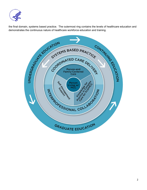

the final domain, systems based practice. The outermost ring contains the levels of healthcare education and

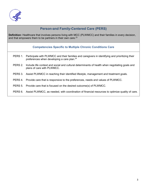

# **Person-and Family-Centered Care (PERS)**

**Definition:** Healthcare that involves persons living with MCC (PLWMCC) and their families in every decision, and that empowers them to be partners in their own care.<sup>[23](#page-15-0)</sup>

#### **Competencies Specific to Multiple Chronic Conditions Care**

- PERS 1. Participate with PLWMCC and their families and caregivers in identifying and prioritizing their preferences when developing a care plan.<sup>24</sup>
- PERS 2. Include life context and social and cultural determinants of health when negotiating goals and plans of care with PLWMCC.
- PERS 3. Assist PLWMCC in reaching their identified lifestyle, management and treatment goals.
- PERS 4. Provide care that is responsive to the preferences, needs and values of PLWMCC.
- PERS 5. Provide care that is focused on the desired outcome(s) of PLWMCC.
- PERS 6. Assist PLWMCC, as needed, with coordination of financial resources to optimize quality of care.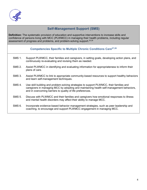

# **Self-Management Support (SMS)**

**Definition:** The systematic provision of education and supportive interventions to increase skills and confidence of persons living with MCC (PLWMCC) in managing their health problems, including regular assessment of progress and problems, and problem-solving support.<sup>25,26</sup>

## **Competencies Specific to Multiple Chronic Conditions Care27,28**

- SMS 1. Support PLWMCC, their families and caregivers, in setting goals, developing action plans, and continuously re-evaluating and revising them as needed.
- SMS 2. Assist PLWMCC in identifying and evaluating information for appropriateness to inform their plans of care.
- SMS 3. Assist PLWMCC to link to appropriate community-based resources to support healthy behaviors and learn self-management techniques.
- SMS 4. Use skill building and problem-solving strategies to support PLWMCC, their families and caregivers in managing MCC by adopting and maintaining health self-management behaviors, and in overcoming barriers to quality of life preferences.
- SMS 5. Discuss with PLWMCC and their families and caregivers how emotional responses to illness and mental health disorders may affect their ability to manage MCC.
- SMS 6. Incorporate evidence-based behavior management strategies, such as peer leadership and coaching, to encourage and support PLWMCC engagement in managing MCC.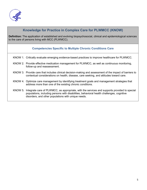

# **Knowledge for Practice in Complex Care for PLWMCC (KNOW) Definition:** The application of established and evolving biopsychosocial, clinical and epidemiological sciences to the care of persons living with MCC (PLWMCC). **Competencies Specific to Multiple Chronic Conditions Care** KNOW 1. Critically evaluate emerging evidence-based practices to improve healthcare for PLWMCC. KNOW 2. Provide effective medication management for PLWMCC, as well as continuous monitoring, follow-up and reassessment. KNOW 3. Provide care that includes clinical decision-making and assessment of the impact of barriers to contextual considerations on health, disease, care seeking, and attitudes toward care. KNOW 4. Optimize care management by identifying treatment goals and management strategies that address more than one of the existing chronic conditions. KNOW 5. Integrate care of PLWMCC, as appropriate, with the services and supports provided to special populations, including persons with disabilities, behavioral health challenges, cognitive disorders, and other populations with unique needs.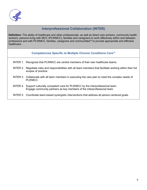

# **Interprofessional Collaboration (INTER)**

**Definition:** The ability of healthcare and other professionals, as well as direct care workers, community health workers, persons living with MCC (PLWMCC), families and caregivers to work effectively within and between professions and with PLWMCC, families, caregivers and communities<sup>29</sup> to provide appropriate and effective healthcare.

## **Competencies Specific to Multiple Chronic Conditions Care**<sup>30</sup>

- INTER 1. Recognize that PLWMCC are central members of their own healthcare teams.
- INTER 2. Negotiate roles and responsibilities with all team members that facilitate working within their full scopes of practice.
- INTER 3. Collaborate with all team members in executing the care plan to meet the complex needs of PLWMCC.
- INTER 4. Support culturally competent care for PLWMCC by the interprofessional team. Engage community partners as key members of the interprofessional team.

#### INTER 5. Coordinate team-based synergistic interventions that address all person-centered goals.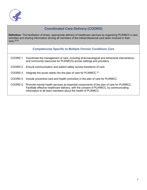

# **Coordinated Care Delivery (COORD)**

**Definition:** The facilitation of timely, appropriate delivery of healthcare services by organizing PLWMCC's care activities and sharing information among all members of the interprofessional care team involved in their care. [28](#page-15-1)[,29](#page-15-2)

| <b>Competencies Specific to Multiple Chronic Conditions Care</b> |  |  |  |
|------------------------------------------------------------------|--|--|--|
|                                                                  |  |  |  |

- COORD 1. Coordinate the management of care, including pharmacological and behavioral interventions, and community resources for PLWMCCs across settings and providers.
- COORD 2. Ensure communication and patient safety across transitions of care.
- COORD 3. Integrate the acute needs into the plan of care for PLWMCC.<sup>30</sup>
- COORD 4. Include preventive care and health promotion in the plan of care for PLWMCC.

COORD 5. Promote mental health services as essential components of the plan of care for PLWMCC. Facilitate effective healthcare delivery, with the consent of PLWMCC, by communicating information to all team members about the health of PLWMCC.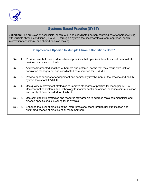

# **Systems Based Practice (SYST)**

**Definition:** The provision of accessible, continuous, and coordinated person-centered care for persons living with multiple chronic conditions (PLWMCC) through a system that incorporates a team approach, health information technology, and shared decision making.<sup>[31](#page-15-4)</sup>

## **Competencies Specific to Multiple Chronic Conditions Car[e18](#page-15-5)**

- SYST 1. Provide care that uses evidence-based practices that optimize interactions and demonstrate positive outcomes for PLWMCC.
- SYST 2. Address fragmented healthcare, barriers and potential harms that may result from lack of population management and coordinated care services for PLWMCC.
- SYST 3. Provide opportunities for engagement and community involvement at the practice and health system levels for PLWMCC.
- SYST 4. Use quality improvement strategies to improve standards of practice for managing MCCs. Use information systems and technology to monitor health outcomes, enhance communication and safety of care provided to PLWMCC.
- SYST 5. Use cost-effective strategies and resource stewardship to address MCC commonalities and disease-specific goals in caring for PLWMCC.
- SYST 6. Enhance the level of practice of the interprofessional team through risk stratification and optimizing scopes of practice of all team members.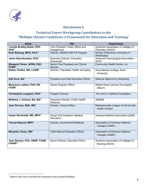

# **Attachment A**

# **Technical Expert Workgroup Contributors to the "Multiple Chronic Conditions: A Framework for Education and Training"**

| <b>Name</b>                                     | <b>Title</b>                                          | <b>Organization</b>                                        |
|-------------------------------------------------|-------------------------------------------------------|------------------------------------------------------------|
| Lynette Bradley-Baker, RPh,<br>$PhD^{2*}$       | Vice President, Public Affairs and<br>Engagement      | American Association of Colleges of<br>Pharmacy (AACP)     |
| Ruth Ballweg, MPA, PA-C*                        | Director, MEDEX NW PA Program                         | School of Medicine, University of<br>Washington            |
| Jaime Diaz-Grandos, PhD*                        | Executive Director, Education<br>Directorate          | American Psychological Association<br>(APA)                |
| Margaret Flinter, APRN, PhD,<br><b>FAAN*</b>    | Senior Vice President and Clinical<br><b>Director</b> | Community Health Center, Inc.                              |
| Robyn Golden, MA, LCSW*                         | Director, Population Health and Aging                 | Rush Medical College, Rush<br>University                   |
| Gail Hunt, BA*                                  | <b>President and Chief Executive Officer</b>          | National Alliance for Caregiving                           |
| MaryJoan Ladden, PhD, RN,<br><b>FAAN*</b>       | Senior Program Officer                                | Robert Wood Johnson Foundation<br>(RWJF)                   |
| Christopher Langston, PhD*                      | Program Director                                      | The John A. Hartford Foundation                            |
| Matthew J. Holland, BA, MA*                     | Executive Director, Public Health<br>Solutions        | WebMD                                                      |
| Joan Pernice, RNC, MS*                          | Director, Clinical Affairs                            | Massachusetts League of Community<br><b>Health Centers</b> |
| Susan Skochelak, MD, MPH*                       | Group Vice President, Medical<br>Education            | American Medical Association (AMA)                         |
| Tannaz Rasouli, MPH*                            | Director, Government Relations                        | Association of American Medical<br>Colleges (AAMC)         |
| Maryellen Gusic, MD*                            | <b>Chief Medical Education Officer</b>                | <b>Association of American Medical</b><br>Colleges (AAMC)  |
| Joan Stanley, PhD, CRNP, FAAN,<br><b>FAANP*</b> | Senior Director, Education Policy                     | American Association of Colleges of<br>Nursing (AACN)      |

 $\overline{a}$ 

<span id="page-10-0"></span><sup>\*</sup> Experts who have reviewed the framework and provided feedback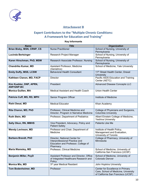

# **Attachment B**

# **Expert Contributors to the "Multiple Chronic Conditions: A Framework for Education and Training"**

## **Key Informants**

| <b>Name</b>                                  | <b>Title</b>                                                                                                       | <b>Organization</b>                                                                                            |
|----------------------------------------------|--------------------------------------------------------------------------------------------------------------------|----------------------------------------------------------------------------------------------------------------|
| Brian Bixby, MSN, CRNP, CS                   | <b>Nurse Practitioner</b>                                                                                          | School of Nursing, University of<br>Pennsylvania                                                               |
| <b>Lucinda Bertsinger</b>                    | Research Project Manager                                                                                           | School of Nursing, University of<br>Pennsylvania                                                               |
| Karen Hirschman, PhD, MSW                    | Research Associate Professor, Nursing                                                                              | School of Nursing, University of<br>Pennsylvania                                                               |
| Chandrika Kumar, MD                          | Assistant Professor, Medicine<br>(Geriatrics)                                                                      | School of Medicine, Yale University                                                                            |
| <b>Emily Duffy, MSS, LCSW</b>                | <b>Behavioral Health Consultant</b>                                                                                | 11 <sup>th</sup> Street Health Center, Drexel<br>University                                                    |
| Kathleen Clanon, MD, FACP                    | <b>Director</b>                                                                                                    | Pacific AIDS Education and Training<br>Center (AETC)                                                           |
| Kim Kuebler, DNP, APRN,<br><b>ANP/GNP-BC</b> | President                                                                                                          | <b>Advanced Disease Concepts LLC</b>                                                                           |
| <b>Monica Guillen, MA</b>                    | Medical Assistant and Health Coach                                                                                 | <b>Union Health Center</b>                                                                                     |
| Patricia Cuff, MS, RD, MPH                   | Senior Program Officer                                                                                             | Institute of Medicine                                                                                          |
| Rishi Desai, MD                              | <b>Medical Educator</b>                                                                                            | Khan Academy                                                                                                   |
| Rita Charon, MD, PhD                         | Professor, Clinical Medicine and<br>Director, Program in Narrative Medicine                                        | College of Physicians and Surgeons,<br><b>Columbia University</b>                                              |
| <b>Ruth Stein, MD</b>                        | Professor, Department of Pediatrics                                                                                | Albert Einstein College of Medicine,<br><b>Yeshiva University</b>                                              |
| Sally Okun, RN, MMHS                         | Vice President, Advocacy, Policy and<br><b>Patient Safety</b>                                                      | Patients Like Me                                                                                               |
| <b>Wendy Levinson, MD</b>                    | Professor and Chair, Department of<br>Medicine                                                                     | Institute of Health Policy,<br>Management and Evaluation,<br>University of Toronto                             |
| <b>Barbara Brandt, PhD</b>                   | Director, National Center for<br>Interprofessional Practice and<br>Education and Professor, College of<br>Pharmacy | College of Pharmacy, University of<br>Minnesota                                                                |
| <b>Maria Wamsley, MD</b>                     | Professor, Clinical Medicine                                                                                       | School of Medicine, University of<br>California San Francisco (UCSF)                                           |
| <b>Benjamin Miller, PsyD</b>                 | Assistant Professor and Director, Office<br>of Integrated Healthcare Research and<br>Policy                        | School of Medicine, University of<br>Colorado Denver                                                           |
| Monica Mix, MD                               | 3rd year Medical Resident                                                                                          | John Hopkins University                                                                                        |
| Tom Bodenheimer, MD                          | Professor                                                                                                          | Center for Excellence in Primary<br>Care, School of Medicine, University<br>of California San Francisco (UCSF) |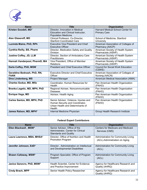

| <b>Name</b>                                | <b>Title</b>                                                                                                            | <b>Organization</b>                                      |
|--------------------------------------------|-------------------------------------------------------------------------------------------------------------------------|----------------------------------------------------------|
| Kristen Goodell, MD*                       | Director, Innovation in Medical<br>Education and Clinical Instructor,<br><b>Population Medicine</b>                     | Harvard Medical School Center for<br><b>Primary Care</b> |
| <b>Alan Glaseroff, MD</b>                  | Clinical Professor, Co-Director,<br><b>Stanford Coordinated Care</b>                                                    | School of Medicine, Stanford<br>University               |
| Lucinda Maine, PhD, RPh                    | <b>Executive Vice President and Chief</b><br><b>Executive Officer</b>                                                   | American Association of Colleges of<br>Pharmacy (AACP)   |
| Cynthia Reilly, BS, Pharm                  | Director, Medication Safety and Quality<br>Division                                                                     | American Society of Health System<br>Pharmacists (ASHP)  |
| Justine Coffey, JD, LLM                    | Director, Section of Ambulatory Care<br><b>Practitioners</b>                                                            | American Society of Health System<br>Pharmacists (ASHP)  |
| Hannah Vanderpool, PharmD, MA              | Vice President, Office of Member<br>Relations                                                                           | American Society of Health System<br>Pharmacists (ASHP)  |
| Darla Coffey, PhD, MSW                     | <b>President and Chief Executive Officer</b>                                                                            | <b>Council for Social Work Education</b><br>(CSWE)       |
| Geraldine Bednash, PhD, RN,<br><b>FAAN</b> | <b>Executive Director and Chief Executive</b><br>Officer                                                                | American Association of Colleges of<br>Nursing (AACN)    |
| Dina Lindenberg, MS                        | Project Manager                                                                                                         | American Medical Association (AMA)                       |
| <b>Charles Godue, MD, MSc</b>              | Coordinator, Human Resources for<br>Health                                                                              | Pan American Health Organization<br>(PAHO)               |
| Branka Legetic, MD, MPH, PhD               | Regional Adviser, Noncommunicable<br><b>Diseases</b>                                                                    | Pan American Health Organization<br>(PAHO)               |
| <b>Enrique Vega, MD</b>                    | Advisor, Health Aging                                                                                                   | Pan American Health Organization<br>(PAHO)               |
| Carlos Santos, MD, MPH, PhD                | Senior Advisor, Violence, Injuries and<br>Human Security and Coordinator,<br>Urban Health and Determinants of<br>Health | Pan American Health Organization<br>(PAHO)               |
| James Ralson, MD, MPH*                     | Internal Medicine Physician                                                                                             | <b>Group Health Research Institute</b>                   |

## **Federal Expert Contributors**

| <b>Name</b>                | <b>Title</b>                                                                                        | <b>Organization</b>                                                         |
|----------------------------|-----------------------------------------------------------------------------------------------------|-----------------------------------------------------------------------------|
| Ellen Blackwell, MSW*      | Senior Advisor, Office of the<br>Administrator, Center for Clinical<br><b>Standards and Quality</b> | Centers for Medicare and Medicaid<br>Services (CMS)                         |
| Laura Lawrence, MBA, MHSA* | Director, Office of Nutrition and Health<br><b>Promotion Program</b>                                | <b>Administration for Community Living</b><br>(ACL)-Administration on Aging |
| Jennifer Johnson, EdD*     | Director, Administration on Intellectual<br>and Developmental Disabilities                          | <b>Administration for Community Living</b><br>(ACL)                         |
| Shawn Callaway, MSW*       | Program Specialist, Office of Program<br>Support                                                    | Administration for Community Living<br>(ACL)                                |
| Janice Genevro, PhD, MSW*  | Health Scientist, Center for Evidence<br>and Practice Improvement                                   | Agency for Healthcare Research and<br>Quality (AHRQ)                        |
| <b>Cindy Brach, MPP</b>    | Senior Health Policy Researcher                                                                     | Agency for Healthcare Research and<br>Quality (AHRQ)                        |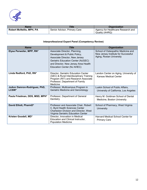

| <b>Name</b>                     | Title                        | <b>Organization</b>                                  |
|---------------------------------|------------------------------|------------------------------------------------------|
| <b>Robert McNellis, MPH, PA</b> | Senior Advisor, Primary Care | Agency for Healthcare Research and<br>Quality (AHRQ) |

## **Interprofessional Expert Panel (Competency Review)**

| <b>Name</b>                           | <b>Title</b>                                                                                                                                                                                                | <b>Organization</b>                                                                                  |
|---------------------------------------|-------------------------------------------------------------------------------------------------------------------------------------------------------------------------------------------------------------|------------------------------------------------------------------------------------------------------|
| Elyse Perweiler, MPP, RN*             | Associate Director, Planning,<br>Development & Public Policy,<br>Associate Director, New Jersey<br>Geriatric Education Center (NJGEC)<br>and Director, New Jersey Area Health<br>Education Center (NJ AHEC) | School of Osteopathic Medicine and<br>New Jersey Institute for Successful<br>Aging, Rowan University |
| Linda Redford, PhD, RN*               | Director, Geriatric Education Center<br>(GEC) & Rural Interdisciplinary Training<br>Program (RIT) and Research Associate<br>Professor, Department of Family<br>Medicine                                     | Landon Center on Aging, University of<br>Kansas Medical Center                                       |
| JoAnn Damron-Rodriguez, PhD,<br>LCSW* | Professor, Multicampus Program in<br>Geriatric Medicine and Gerontology                                                                                                                                     | Luskin School of Public Affairs,<br>University of California, Los Angeles                            |
| Paula Friedman, DDS, MSD, MPH*        | Professor, Department of General<br>Dentistry                                                                                                                                                               | Henry M. Goldman School of Dental<br>Medicine, Boston University                                     |
| David Elliott, PharmD*                | Professor and Associate Chair, Robert<br>C. Byrd Health Sciences Center<br>Charleston Division and Director, West<br>Virginia Geriatric Education Center                                                    | School of Pharmacy, West Virginia<br>University                                                      |
| Kristen Goodell, MD*                  | Director, Innovation in Medical<br>Education and Clinical Instructor,<br><b>Population Medicine</b>                                                                                                         | Harvard Medical School Center for<br><b>Primary Care</b>                                             |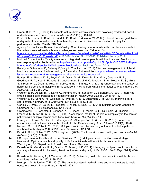

## **References**

- <span id="page-14-0"></span>1. Green, B. B. (2013). Caring for patients with multiple chronic conditions: balancing evidenced-based and patient-centered care. *J Am Board Fam Med, 26*(5), 484-485.
- <span id="page-14-1"></span>2. Boyd, C. M., Darer, J., Boult, C., Fried, L. P., Boult, L., & Wu, A. W. (2005). Clinical practice guidelines and quality of care for older patients with multiple comorbid diseases: implications for pay for performance. *JAMA, 294*(6), 716-724.
- 3. Agency for Healthcare Research and Quality. Coordinating care for adults with complex care needs in the patient-centered medical home: challenges and solutions. Retrieved from: [http://pcmh.ahrq.gov/sites/default/files/attachments/Coordinating%20Care%20for%20Adults%20with%2](http://pcmh.ahrq.gov/sites/default/files/attachments/Coordinating%20Care%20for%20Adults%20with%20Complex%20Care%20Needs.pdf) [0Complex%20Care%20Needs.pdf.](http://pcmh.ahrq.gov/sites/default/files/attachments/Coordinating%20Care%20for%20Adults%20with%20Complex%20Care%20Needs.pdf) AHRQ Publication No. 12-0010. Published January 2012.
- 4. National Committee for Quality Assurance. Integrated care for people with Medicare and Medicaid: a roadmap for quality. Retrieved from: [http://www.ncqa.org/portals/0/public%20policy/NCQAWhitePaper-](http://www.ncqa.org/portals/0/public%20policy/NCQAWhitePaper-IntegratedCareforPeoplewithMedicareandMedicaid.pdf)[IntegratedCareforPeoplewithMedicareandMedicaid.pdf.](http://www.ncqa.org/portals/0/public%20policy/NCQAWhitePaper-IntegratedCareforPeoplewithMedicareandMedicaid.pdf) Published March 2013.
- 5. Rodriguez S, Munevar D, Delaney C, Yang L, Tumlinson A. (2014) Effective management of high-risk Medicare populations. Avalere Health, LLC website. Retrieved from: [http://avalere.com/news/avalere](http://avalere.com/news/avalere-issues-white-paper-on-the-management-of-high-risk-medicare-populati)[issues-white-paper-on-the-management-of-high-risk-medicare-populati.](http://avalere.com/news/avalere-issues-white-paper-on-the-management-of-high-risk-medicare-populati)
- 6. Bayliss, E. A., Bonds, D. E., Boyd, C. M., Davis, M. M., Finke, B., Fox, M. H., Glasgow, R. E., Goodman, R. A., Heurtin-Roberts, S., Lachenmayr, S., Lind, C., Madigan, E. A., Meyers, D. S., Mintz, S., Nilsen, W. J., Okun, S., Ruiz, S., Salive, M. E., & Stange, K. C. (2014). Understanding the context of health for persons with multiple chronic conditions: moving from what is the matter to what matters. *Ann Fam Med, 12*(3), 260-269.
- 7. Wagner, E. H., Austin, B. T., Davis, C., Hindmarsh, M., Schaefer, J., & Bonomi, A. (2001). Improving chronic illness care: translating evidence into action. *Health Aff (Millwood), 20*(6), 64-78.
- 8. Wagner, E. H., Sandhu, N., Coleman, K., Phillips, K. E., & Sugarman, J. R. (2014). Improving care coordination in primary care. *Med Care, 52*(11 Suppl 4), S33-38.
- 9. Gerteis, J., Izrael, D., LeRoy L., Ricciardi R., Miller, T., Basu, J. . (2014). Multiple Chronic Conditions Chartbook: AHRQ Publications No, Q14-0038.
- 10. Grembowski, D., Schaefer, J., Johnson, K. E., Fischer, H., Moore, S. L., Tai-Seale, M., Ricciardi, R., Fraser, J. R., Miller, D., & LeRoy, L. (2014). A conceptual model of the role of complexity in the care of patients with multiple chronic conditions. *Med Care, 52 Suppl 3*, S7-S14.
- 11. Formiga, F., Ferrer, A., Sanz, H., Marengoni, A., Alburquerque, J., & Pujol, R. (2013). Patterns of comorbidity and multimorbidity in the oldest old: the Octabaix study. *Eur J Intern Med, 24*(1), 40-44.
- 12. Rezaee, M. E., & Pollock, M. (2015). Multiple chronic conditions among outpatient pediatric patients, southeastern Michigan, 2008-2013. *Prev Chronic Dis, 12*, E18.
- <span id="page-14-2"></span>13. Berwick, D. M., Nolan, T. W., & Whittington, J. (2008). The triple aim: care, health, and cost. *Health Aff (Millwood), 27*(3), 759-769.
- 14. US Department of Health and Human Services. (2010). Multiple chronic conditions—A strategic framework: Optimum health and quality of life for individuals with multiple chronic conditions: Washington, DC, Department of Health and Human Services.
- 15. Parekh, A. K., Goodman, R. A., Gordon, C., & Koh, H. K. (2011). Managing multiple chronic conditions: a strategic framework for improving health outcomes and quality of life. *Public Health Rep, 126*(4), 460- 471.
- 16. Parekh, A. K., Kronick, R., & Tavenner, M. (2014). Optimizing health for persons with multiple chronic conditions. *JAMA, 312*(12), 1199-1200.
- 17. Holtrop, J. S., & Jordan, T. R. (2010). The patient-centered medical home and why it matters to health educators. *Health Promot Pract, 11*(5), 622-628.